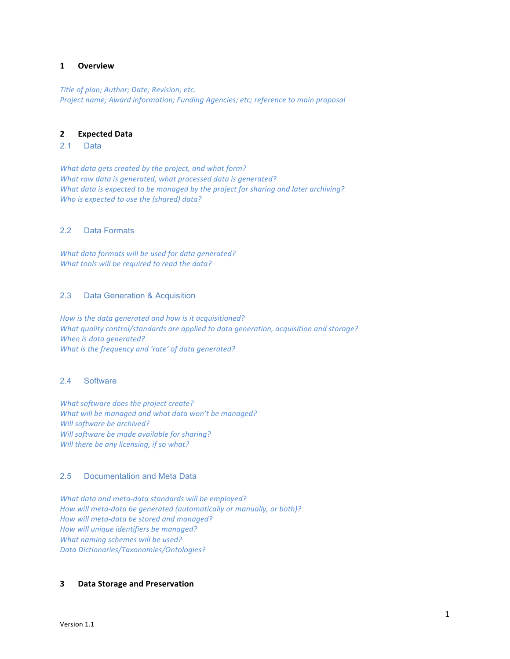### **1 Overview**

*Title of plan; Author; Date; Revision; etc. Project name; Award information; Funding Agencies; etc; reference to main proposal* 

## **2 Expected(Data**

## 2.1 Data

*What data gets created by the project, and what form? What raw data is generated, what processed data is generated? What data is expected to be managed by the project for sharing and later archiving? Who is expected to use the (shared) data?* 

#### 2.2 Data Formats

*What data formats will be used for data generated? What tools will be required to read the data?* 

## 2.3 Data Generation & Acquisition

How is the data generated and how is it acquisitioned? *What quality control/standards are applied to data generation, acquisition and storage? When is data generated? What is the frequency and 'rate' of data generated?* 

## 2.4 Software

*What software does the project create?* What will be managed and what data won't be managed? *Will software be archived? Will software be made available for sharing? Will there be any licensing, if so what?* 

# 2.5 Documentation and Meta Data

*What data and meta-data standards will be employed?* How will meta-data be generated (automatically or manually, or both)? How will meta-data be stored and managed? *How will unique identifiers be managed? What naming schemes will be used? Data&Dictionaries/Taxonomies/Ontologies?*

## **3 Data Storage and Preservation**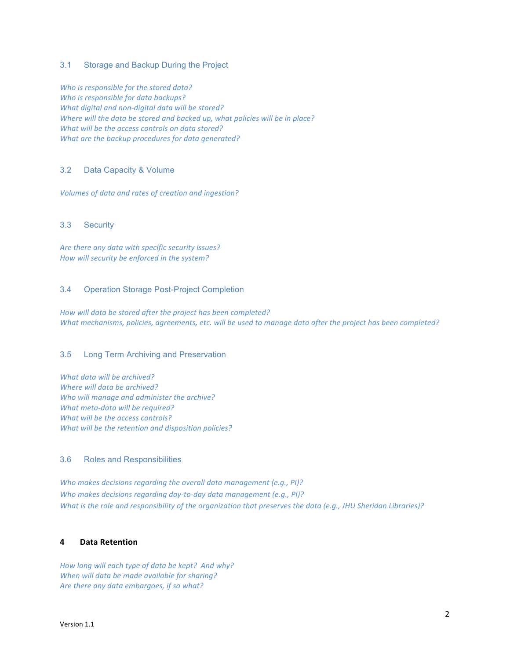# 3.1 Storage and Backup During the Project

*Who is responsible for the stored data? Who is responsible for data backups? What digital and non-digital data will be stored? Where will the data be stored and backed up, what policies will be in place? What will be the access controls on data stored? What are the backup procedures for data generated?* 

## 3.2 Data Capacity & Volume

*Volumes of data and rates of creation and ingestion?* 

## 3.3 Security

Are there any data with specific security *issues? How will security be enforced in the system?* 

### 3.4 Operation Storage Post-Project Completion

How will data be stored after the project has been completed? *What mechanisms, policies, agreements, etc. will be used to manage data after the project has been completed?* 

#### 3.5 Long Term Archiving and Preservation

*What data will be archived? Where will data be archived? Who will manage and administer the archive? What meta-data will be required? What will be the access controls? What will be the retention and disposition policies?* 

## 3.6 Roles and Responsibilities

*Who makes decisions regarding the overall data management (e.g., PI)? Who makes decisions regarding day-to-day data management (e.g., PI)? What is the role and responsibility of the organization that preserves the data (e.g., JHU Sheridan Libraries)?* 

# **4 Data(Retention**

How long will each type of data be kept? And why? *When will data be made available for sharing?* Are there any data embargoes, if so what?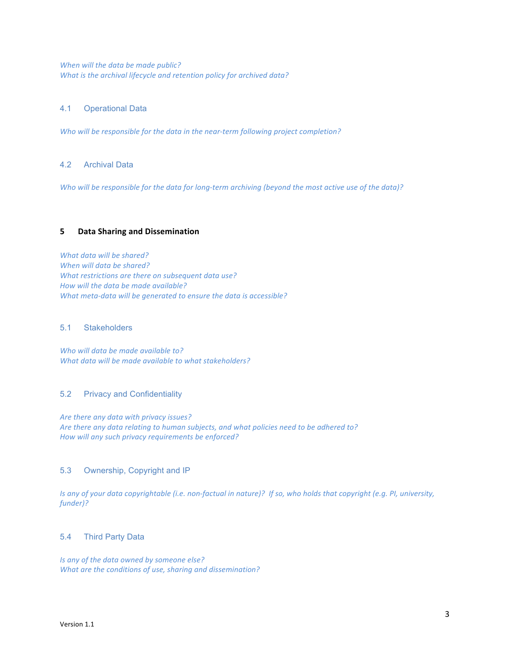*When will the data be made public? What is the archival lifecycle and retention policy for archived data?* 

## 4.1 Operational Data

*Who will be responsible for the data in the near-term following project completion?* 

## 4.2 Archival Data

Who will be responsible for the data for long-term archiving (beyond the most active use of the data)?

## **5 Data Sharing and Dissemination**

*What data will be shared?* When will data be shared? *What restrictions are there on subsequent data use? How will the data be made available? What meta-data will be generated to ensure the data is accessible?* 

#### 5.1 Stakeholders

*Who will data be made available to? What data will be made available to what stakeholders?* 

## 5.2 Privacy and Confidentiality

Are there any data with privacy issues? Are there any data relating to human subjects, and what policies need to be adhered to? How will any such privacy requirements be enforced?

#### 5.3 Ownership, Copyright and IP

*Is any of your data copyrightable (i.e. non-factual in nature)? If so, who holds that copyright (e.g. PI, university, funder)?*

### 5.4 Third Party Data

*Is any of the data owned by someone else? What are the conditions of use, sharing and dissemination?*